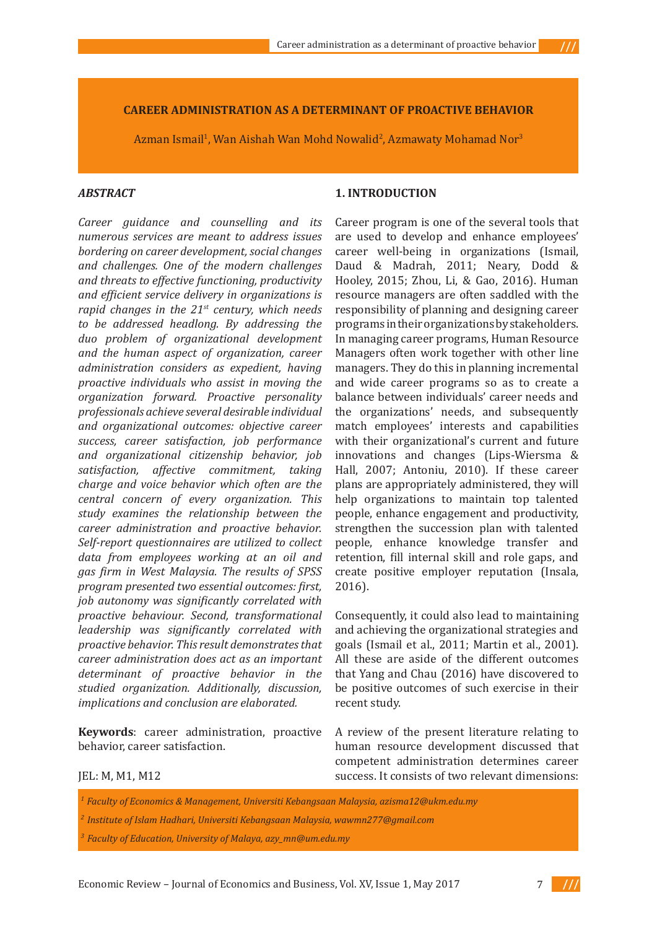$111$ 

#### **CAREER ADMINISTRATION AS A DETERMINANT OF PROACTIVE BEHAVIOR**

Azman Ismail<sup>1</sup>, Wan Aishah Wan Mohd Nowalid<sup>2</sup>, Azmawaty Mohamad Nor<sup>3</sup>

### *ABSTRACT*<sup>1</sup>

*Career guidance and counselling and its numerous services are meant to address issues bordering on career development, social changes and challenges. One of the modern challenges and threats to effective functioning, productivity and efficient service delivery in organizations is rapid changes in the 21st century, which needs to be addressed headlong. By addressing the duo problem of organizational development and the human aspect of organization, career administration considers as expedient, having proactive individuals who assist in moving the organization forward. Proactive personality professionals achieve several desirable individual and organizational outcomes: objective career success, career satisfaction, job performance and organizational citizenship behavior, job satisfaction, affective commitment, taking charge and voice behavior which often are the central concern of every organization. This study examines the relationship between the career administration and proactive behavior. Self-report questionnaires are utilized to collect data from employees working at an oil and gas firm in West Malaysia. The results of SPSS program presented two essential outcomes: first, job autonomy was significantly correlated with proactive behaviour. Second, transformational leadership was significantly correlated with proactive behavior. This result demonstrates that career administration does act as an important determinant of proactive behavior in the studied organization. Additionally, discussion, implications and conclusion are elaborated.*

**Keywords**: career administration, proactive behavior, career satisfaction.

### **1. INTRODUCTION**

Career program is one of the several tools that are used to develop and enhance employees' career well-being in organizations (Ismail, Daud & Madrah, 2011; Neary, Dodd & Hooley, 2015; Zhou, Li, & Gao, 2016). Human resource managers are often saddled with the responsibility of planning and designing career programs in their organizations by stakeholders. In managing career programs, Human Resource Managers often work together with other line managers. They do this in planning incremental and wide career programs so as to create a balance between individuals' career needs and the organizations' needs, and subsequently match employees' interests and capabilities with their organizational's current and future innovations and changes (Lips-Wiersma & Hall, 2007; Antoniu, 2010). If these career plans are appropriately administered, they will help organizations to maintain top talented people, enhance engagement and productivity, strengthen the succession plan with talented people, enhance knowledge transfer and retention, fill internal skill and role gaps, and create positive employer reputation (Insala, 2016).

Consequently, it could also lead to maintaining and achieving the organizational strategies and goals (Ismail et al., 2011; Martin et al., 2001). All these are aside of the different outcomes that Yang and Chau (2016) have discovered to be positive outcomes of such exercise in their recent study.

A review of the present literature relating to human resource development discussed that competent administration determines career success. It consists of two relevant dimensions:

### JEL: M, M1, M12

*<sup>1</sup>Faculty of Economics & Management, Universiti Kebangsaan Malaysia, azisma12@ukm.edu.my* 

*<sup>2</sup>Institute of Islam Hadhari, Universiti Kebangsaan Malaysia, wawmn277@gmail.com*

*<sup>3</sup>Faculty of Education, University of Malaya, azy\_mn@um.edu.my*

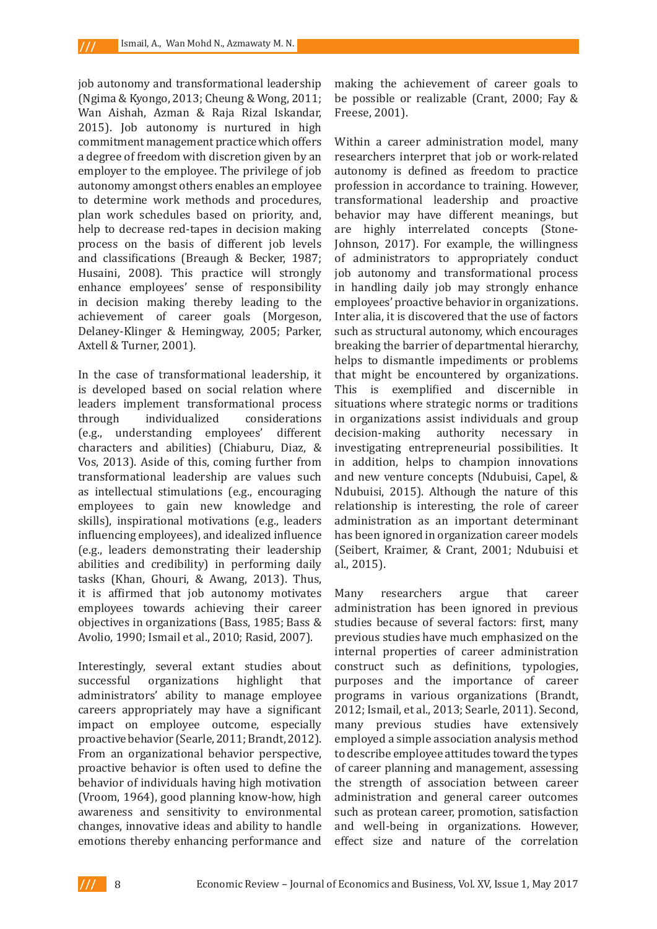job autonomy and transformational leadership (Ngima & Kyongo, 2013; Cheung & Wong, 2011; Wan Aishah, Azman & Raja Rizal Iskandar, 2015). Job autonomy is nurtured in high commitment management practice which offers a degree of freedom with discretion given by an employer to the employee. The privilege of job autonomy amongst others enables an employee to determine work methods and procedures, plan work schedules based on priority, and, help to decrease red-tapes in decision making process on the basis of different job levels and classifications (Breaugh & Becker, 1987; Husaini, 2008). This practice will strongly enhance employees' sense of responsibility in decision making thereby leading to the achievement of career goals (Morgeson, Delaney-Klinger & Hemingway, 2005; Parker, Axtell & Turner, 2001).

In the case of transformational leadership, it is developed based on social relation where leaders implement transformational process considerations (e.g., understanding employees' different characters and abilities) (Chiaburu, Diaz, & Vos, 2013). Aside of this, coming further from transformational leadership are values such as intellectual stimulations (e.g., encouraging employees to gain new knowledge and skills), inspirational motivations (e.g., leaders influencing employees), and idealized influence (e.g., leaders demonstrating their leadership abilities and credibility) in performing daily tasks (Khan, Ghouri, & Awang, 2013). Thus, it is affirmed that job autonomy motivates employees towards achieving their career objectives in organizations (Bass, 1985; Bass & Avolio, 1990; Ismail et al., 2010; Rasid, 2007).

Interestingly, several extant studies about<br>successful organizations highlight that organizations administrators' ability to manage employee careers appropriately may have a significant impact on employee outcome, especially proactive behavior (Searle, 2011; Brandt, 2012). From an organizational behavior perspective, proactive behavior is often used to define the behavior of individuals having high motivation (Vroom, 1964), good planning know-how, high awareness and sensitivity to environmental changes, innovative ideas and ability to handle emotions thereby enhancing performance and

making the achievement of career goals to be possible or realizable (Crant, 2000; Fay & Freese, 2001).

Within a career administration model, many researchers interpret that job or work-related autonomy is defined as freedom to practice profession in accordance to training. However, transformational leadership and proactive behavior may have different meanings, but are highly interrelated concepts (Stone-Johnson, 2017). For example, the willingness of administrators to appropriately conduct job autonomy and transformational process in handling daily job may strongly enhance employees' proactive behavior in organizations. Inter alia, it is discovered that the use of factors such as structural autonomy, which encourages breaking the barrier of departmental hierarchy, helps to dismantle impediments or problems that might be encountered by organizations. This is exemplified and discernible in situations where strategic norms or traditions in organizations assist individuals and group<br>decision-making authority necessary in authority necessary in investigating entrepreneurial possibilities. It in addition, helps to champion innovations and new venture concepts (Ndubuisi, Capel, & Ndubuisi, 2015). Although the nature of this relationship is interesting, the role of career administration as an important determinant has been ignored in organization career models (Seibert, Kraimer, & Crant, 2001; Ndubuisi et al., 2015).

Many researchers argue that career administration has been ignored in previous studies because of several factors: first, many previous studies have much emphasized on the internal properties of career administration construct such as definitions, typologies, purposes and the importance of career programs in various organizations (Brandt, 2012; Ismail, et al., 2013; Searle, 2011). Second, many previous studies have extensively employed a simple association analysis method to describe employee attitudes toward the types of career planning and management, assessing the strength of association between career administration and general career outcomes such as protean career, promotion, satisfaction and well-being in organizations. However, effect size and nature of the correlation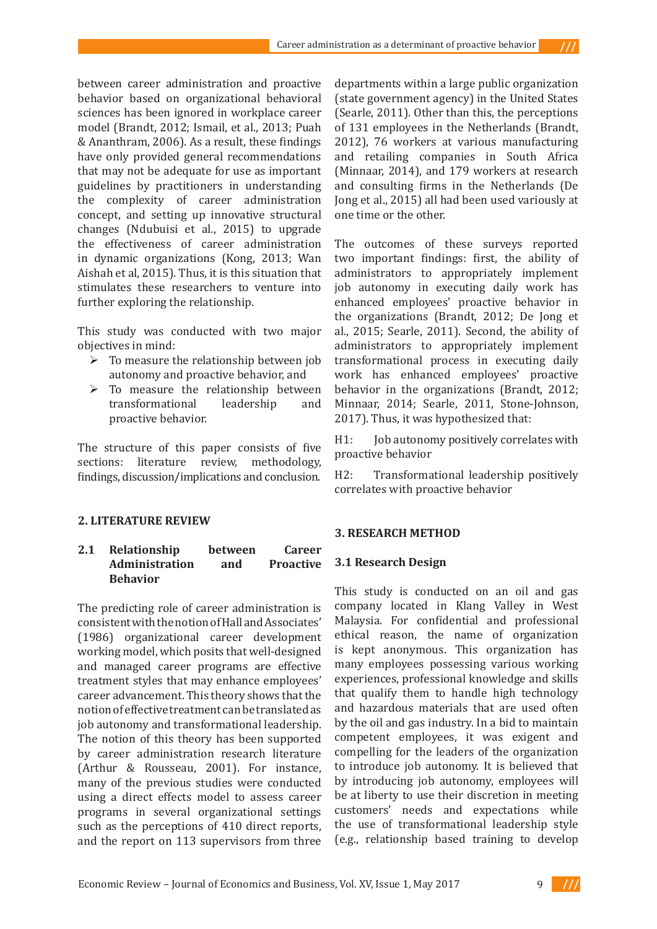between career administration and proactive behavior based on organizational behavioral sciences has been ignored in workplace career model (Brandt, 2012; Ismail, et al., 2013; Puah & Ananthram, 2006). As a result, these findings have only provided general recommendations that may not be adequate for use as important guidelines by practitioners in understanding the complexity of career administration concept, and setting up innovative structural changes (Ndubuisi et al*.*, 2015) to upgrade the effectiveness of career administration in dynamic organizations (Kong, 2013; Wan Aishah et al, 2015). Thus, it is this situation that stimulates these researchers to venture into further exploring the relationship.

This study was conducted with two major objectives in mind:

- $\triangleright$  To measure the relationship between job autonomy and proactive behavior, and
- $\geq$  To measure the relationship between<br>transformational leadership and transformational proactive behavior.

The structure of this paper consists of five sections: literature review, methodology, findings, discussion/implications and conclusion.

# **2. LITERATURE REVIEW**

# **2.1 Relationship between Career Administration and Proactive Behavior**

The predicting role of career administration is consistent with the notion of Hall and Associates' (1986) organizational career development working model, which posits that well-designed and managed career programs are effective treatment styles that may enhance employees' career advancement. This theory shows that the notion of effective treatment can be translated as job autonomy and transformational leadership. The notion of this theory has been supported by career administration research literature (Arthur & Rousseau, 2001). For instance, many of the previous studies were conducted using a direct effects model to assess career programs in several organizational settings such as the perceptions of 410 direct reports, and the report on 113 supervisors from three

departments within a large public organization (state government agency) in the United States (Searle, 2011). Other than this, the perceptions of 131 employees in the Netherlands (Brandt, 2012), 76 workers at various manufacturing and retailing companies in South Africa (Minnaar, 2014), and 179 workers at research and consulting firms in the Netherlands (De Jong et al., 2015) all had been used variously at one time or the other.

 $111$ 

The outcomes of these surveys reported two important findings: first, the ability of administrators to appropriately implement job autonomy in executing daily work has enhanced employees' proactive behavior in the organizations (Brandt, 2012; De Jong et al., 2015; Searle, 2011). Second, the ability of administrators to appropriately implement transformational process in executing daily work has enhanced employees' proactive behavior in the organizations (Brandt, 2012; Minnaar, 2014; Searle, 2011, Stone-Johnson, 2017). Thus, it was hypothesized that:

H1: Job autonomy positively correlates with proactive behavior

H2: Transformational leadership positively correlates with proactive behavior

# **3. RESEARCH METHOD**

### **3.1 Research Design**

This study is conducted on an oil and gas company located in Klang Valley in West Malaysia. For confidential and professional ethical reason, the name of organization is kept anonymous. This organization has many employees possessing various working experiences, professional knowledge and skills that qualify them to handle high technology and hazardous materials that are used often by the oil and gas industry. In a bid to maintain competent employees, it was exigent and compelling for the leaders of the organization to introduce job autonomy. It is believed that by introducing job autonomy, employees will be at liberty to use their discretion in meeting customers' needs and expectations while the use of transformational leadership style (e.g., relationship based training to develop

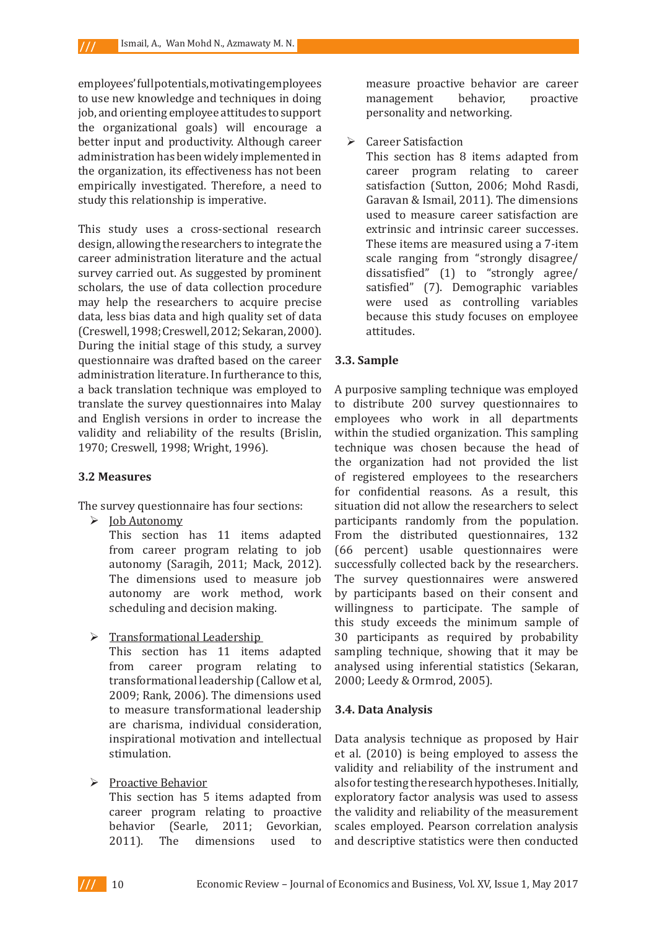employees' full potentials, motivating employees to use new knowledge and techniques in doing job, and orienting employee attitudes to support the organizational goals) will encourage a better input and productivity. Although career administration has been widely implemented in the organization, its effectiveness has not been empirically investigated. Therefore, a need to study this relationship is imperative.

This study uses a cross-sectional research design, allowing the researchers to integrate the career administration literature and the actual survey carried out. As suggested by prominent scholars, the use of data collection procedure may help the researchers to acquire precise data, less bias data and high quality set of data (Creswell, 1998; Creswell, 2012; Sekaran, 2000). During the initial stage of this study, a survey questionnaire was drafted based on the career administration literature. In furtherance to this, a back translation technique was employed to translate the survey questionnaires into Malay and English versions in order to increase the validity and reliability of the results (Brislin, 1970; Creswell, 1998; Wright, 1996).

### **3.2 Measures**

The survey questionnaire has four sections:

 $\triangleright$  Job Autonomy

This section has 11 items adapted from career program relating to job autonomy (Saragih, 2011; Mack, 2012). The dimensions used to measure job autonomy are work method, work scheduling and decision making.

 $\triangleright$  Transformational Leadership

This section has 11 items adapted<br>from career program relating to career program relating to transformational leadership (Callow et al, 2009; Rank, 2006). The dimensions used to measure transformational leadership are charisma, individual consideration, inspirational motivation and intellectual stimulation.

 $\triangleright$  Proactive Behavior

This section has 5 items adapted from career program relating to proactive behavior (Searle, 2011; Gevorkian, 2011). The dimensions used to

measure proactive behavior are career management behavior, proactive personality and networking.

**►** Career Satisfaction

This section has 8 items adapted from career program relating to career satisfaction (Sutton, 2006; Mohd Rasdi, Garavan & Ismail, 2011). The dimensions used to measure career satisfaction are extrinsic and intrinsic career successes. These items are measured using a 7-item scale ranging from "strongly disagree/ dissatisfied" (1) to "strongly agree/ satisfied" (7). Demographic variables were used as controlling variables because this study focuses on employee attitudes.

### **3.3. Sample**

A purposive sampling technique was employed to distribute 200 survey questionnaires to employees who work in all departments within the studied organization. This sampling technique was chosen because the head of the organization had not provided the list of registered employees to the researchers for confidential reasons. As a result, this situation did not allow the researchers to select participants randomly from the population. From the distributed questionnaires, 132 (66 percent) usable questionnaires were successfully collected back by the researchers. The survey questionnaires were answered by participants based on their consent and willingness to participate. The sample of this study exceeds the minimum sample of 30 participants as required by probability sampling technique, showing that it may be analysed using inferential statistics (Sekaran, 2000; Leedy & Ormrod, 2005).

#### **3.4. Data Analysis**

Data analysis technique as proposed by Hair et al. (2010) is being employed to assess the validity and reliability of the instrument and also for testing the research hypotheses. Initially, exploratory factor analysis was used to assess the validity and reliability of the measurement scales employed. Pearson correlation analysis and descriptive statistics were then conducted



 $III$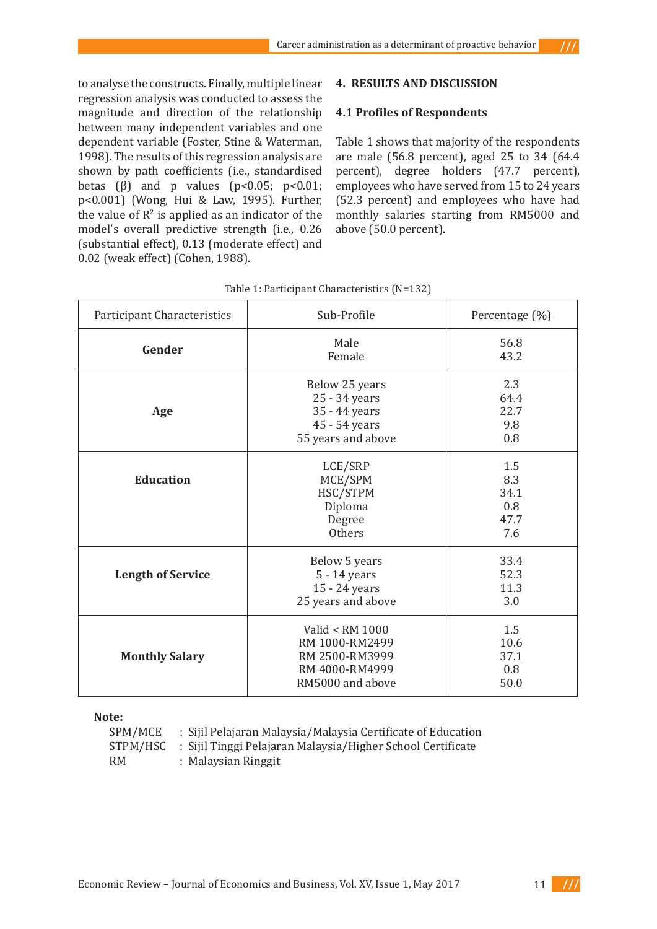to analyse the constructs. Finally, multiple linear regression analysis was conducted to assess the magnitude and direction of the relationship between many independent variables and one dependent variable (Foster, Stine & Waterman, 1998). The results of this regression analysis are shown by path coefficients (i.e., standardised betas  $(\beta)$  and p values  $(p<0.05; p<0.01;$ p<0.001) (Wong, Hui & Law, 1995). Further, the value of  $\mathbb{R}^2$  is applied as an indicator of the model's overall predictive strength (i.e., 0.26 (substantial effect), 0.13 (moderate effect) and

0.02 (weak effect) (Cohen, 1988).

# **4. RESULTS AND DISCUSSION**

# **4.1 Profiles of Respondents**

Table 1 shows that majority of the respondents are male (56.8 percent), aged 25 to 34 (64.4 percent), degree holders (47.7 percent), employees who have served from 15 to 24 years (52.3 percent) and employees who have had monthly salaries starting from RM5000 and above (50.0 percent).

| <b>Participant Characteristics</b> | Sub-Profile                                                                               | Percentage (%)                           |
|------------------------------------|-------------------------------------------------------------------------------------------|------------------------------------------|
| Gender                             | Male<br>Female                                                                            | 56.8<br>43.2                             |
| Age                                | Below 25 years<br>25 - 34 years<br>35 - 44 years<br>45 - 54 years<br>55 years and above   | 2.3<br>64.4<br>22.7<br>9.8<br>0.8        |
| <b>Education</b>                   | LCE/SRP<br>MCE/SPM<br>HSC/STPM<br>Diploma<br>Degree<br><b>Others</b>                      | 1.5<br>8.3<br>34.1<br>0.8<br>47.7<br>7.6 |
| <b>Length of Service</b>           | Below 5 years<br>5 - 14 years<br>15 - 24 years<br>25 years and above                      | 33.4<br>52.3<br>11.3<br>3.0              |
| <b>Monthly Salary</b>              | Valid < RM 1000<br>RM 1000-RM2499<br>RM 2500-RM3999<br>RM 4000-RM4999<br>RM5000 and above | 1.5<br>10.6<br>37.1<br>0.8<br>50.0       |

**Note:**

SPM/MCE : Sijil Pelajaran Malaysia/Malaysia Certificate of Education<br>STPM/HSC : Sijil Tinggi Pelajaran Malaysia/Higher School Certificate : Sijil Tinggi Pelajaran Malaysia/Higher School Certificate RM : Malaysian Ringgit

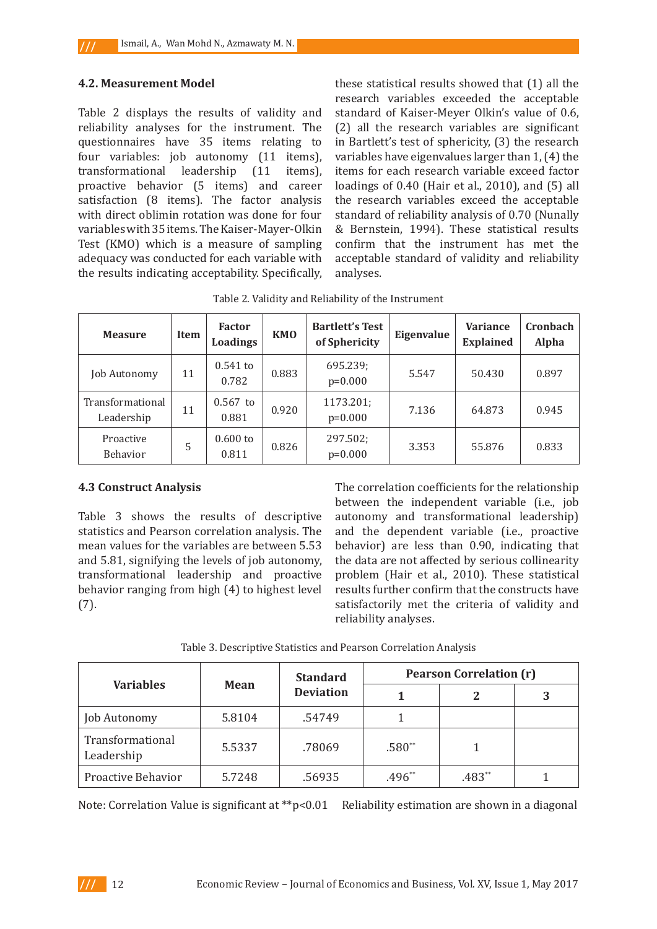### **4.2. Measurement Model**

 $III$ 

Table 2 displays the results of validity and reliability analyses for the instrument. The questionnaires have 35 items relating to four variables: job autonomy (11 items), transformational leadership (11 items), proactive behavior (5 items) and career satisfaction (8 items). The factor analysis with direct oblimin rotation was done for four variables with 35 items. The Kaiser-Mayer-Olkin Test (KMO) which is a measure of sampling adequacy was conducted for each variable with the results indicating acceptability. Specifically, these statistical results showed that (1) all the research variables exceeded the acceptable standard of Kaiser-Meyer Olkin's value of 0.6, (2) all the research variables are significant in Bartlett's test of sphericity, (3) the research variables have eigenvalues larger than 1, (4) the items for each research variable exceed factor loadings of 0.40 (Hair et al., 2010), and (5) all the research variables exceed the acceptable standard of reliability analysis of 0.70 (Nunally & Bernstein, 1994). These statistical results confirm that the instrument has met the acceptable standard of validity and reliability analyses.

| <b>Measure</b>                 | Item | <b>Factor</b><br>Loadings | <b>KMO</b> | <b>Bartlett's Test</b><br>of Sphericity | Eigenvalue | <b>Variance</b><br><b>Explained</b> | Cronbach<br>Alpha |
|--------------------------------|------|---------------------------|------------|-----------------------------------------|------------|-------------------------------------|-------------------|
| Job Autonomy                   | 11   | $0.541$ to<br>0.782       | 0.883      | 695.239;<br>$p=0.000$                   | 5.547      | 50.430                              | 0.897             |
| Transformational<br>Leadership | 11   | $0.567$ to<br>0.881       | 0.920      | 1173.201;<br>$p=0.000$                  | 7.136      | 64.873                              | 0.945             |
| Proactive<br>Behavior          | 5    | $0.600$ to<br>0.811       | 0.826      | 297.502;<br>$p=0.000$                   | 3.353      | 55.876                              | 0.833             |

Table 2. Validity and Reliability of the Instrument

### **4.3 Construct Analysis**

Table 3 shows the results of descriptive statistics and Pearson correlation analysis. The mean values for the variables are between 5.53 and 5.81, signifying the levels of job autonomy, transformational leadership and proactive behavior ranging from high (4) to highest level (7).

The correlation coefficients for the relationship between the independent variable (i.e., job autonomy and transformational leadership) and the dependent variable (i.e., proactive behavior) are less than 0.90, indicating that the data are not affected by serious collinearity problem (Hair et al., 2010). These statistical results further confirm that the constructs have satisfactorily met the criteria of validity and reliability analyses.

| <b>Variables</b>               | <b>Mean</b> | <b>Standard</b><br><b>Deviation</b> | <b>Pearson Correlation (r)</b> |        |   |
|--------------------------------|-------------|-------------------------------------|--------------------------------|--------|---|
|                                |             |                                     |                                |        | 3 |
| Job Autonomy                   | 5.8104      | .54749                              |                                |        |   |
| Transformational<br>Leadership | 5.5337      | .78069                              | $.580**$                       |        |   |
| <b>Proactive Behavior</b>      | 5.7248      | .56935                              | .496**                         | .483** |   |

Note: Correlation Value is significant at \*\*p<0.01 Reliability estimation are shown in a diagonal

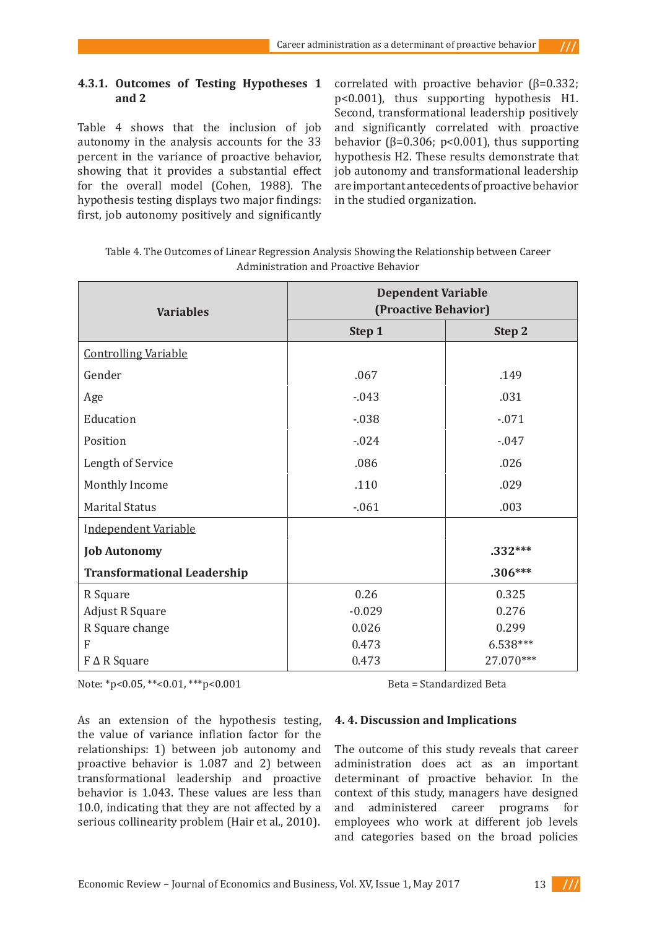## **4.3.1. Outcomes of Testing Hypotheses 1 and 2**

Table 4 shows that the inclusion of job autonomy in the analysis accounts for the 33 percent in the variance of proactive behavior, showing that it provides a substantial effect for the overall model (Cohen, 1988). The hypothesis testing displays two major findings: first, job autonomy positively and significantly correlated with proactive behavior (β=0.332; p<0.001), thus supporting hypothesis H1. Second, transformational leadership positively and significantly correlated with proactive behavior ( $\beta$ =0.306; p<0.001), thus supporting hypothesis H2. These results demonstrate that job autonomy and transformational leadership are important antecedents of proactive behavior in the studied organization.

 $111$ 

| Table 4. The Outcomes of Linear Regression Analysis Showing the Relationship between Career |
|---------------------------------------------------------------------------------------------|
| Administration and Proactive Behavior                                                       |

| <b>Variables</b>                   | <b>Dependent Variable</b><br>(Proactive Behavior) |           |  |
|------------------------------------|---------------------------------------------------|-----------|--|
|                                    | Step 1                                            | Step 2    |  |
| <b>Controlling Variable</b>        |                                                   |           |  |
| Gender                             | .067                                              | .149      |  |
| Age                                | $-0.043$                                          | .031      |  |
| Education                          | $-0.38$                                           | $-.071$   |  |
| Position                           | $-0.024$                                          | $-0.047$  |  |
| Length of Service                  | .086                                              | .026      |  |
| Monthly Income                     | .110                                              | .029      |  |
| <b>Marital Status</b>              | $-0.061$                                          | .003      |  |
| Independent Variable               |                                                   |           |  |
| <b>Job Autonomy</b>                |                                                   | $.332***$ |  |
| <b>Transformational Leadership</b> |                                                   | $.306***$ |  |
| R Square                           | 0.26                                              | 0.325     |  |
| <b>Adjust R Square</b>             | $-0.029$                                          | 0.276     |  |
| R Square change                    | 0.026                                             | 0.299     |  |
| F                                  | 0.473                                             | 6.538***  |  |
| $F \Delta R$ Square                | 0.473                                             | 27.070*** |  |

Note: \*p<0.05, \*\*<0.01, \*\*\*p<0.001 Beta = Standardized Beta

As an extension of the hypothesis testing, the value of variance inflation factor for the relationships: 1) between job autonomy and proactive behavior is 1.087 and 2) between transformational leadership and proactive behavior is 1.043. These values are less than 10.0, indicating that they are not affected by a serious collinearity problem (Hair et al., 2010).

# **4. 4. Discussion and Implications**

The outcome of this study reveals that career administration does act as an important determinant of proactive behavior. In the context of this study, managers have designed and administered career programs for employees who work at different job levels and categories based on the broad policies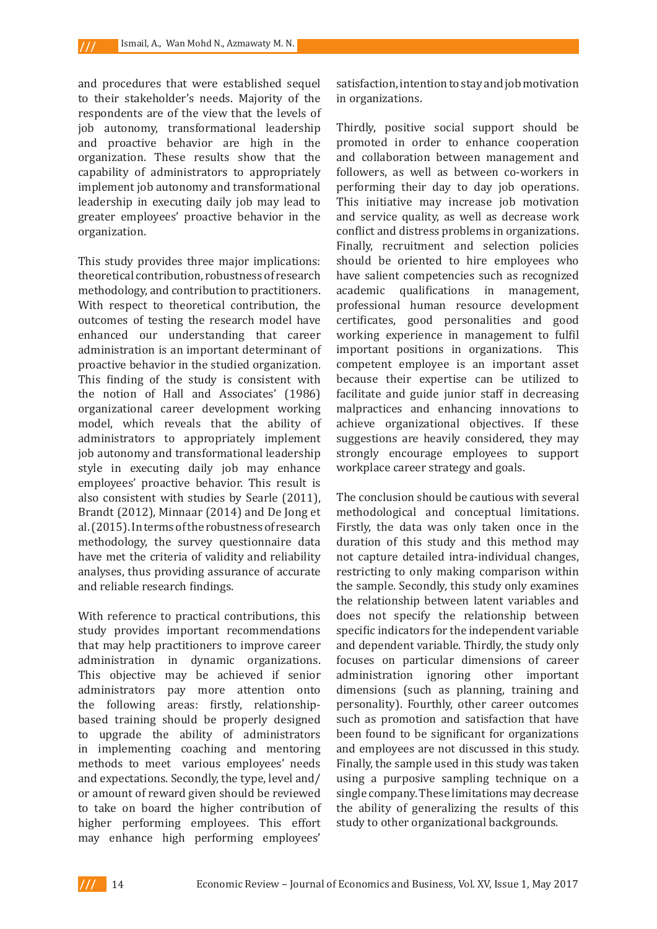and procedures that were established sequel to their stakeholder's needs. Majority of the respondents are of the view that the levels of job autonomy, transformational leadership and proactive behavior are high in the organization. These results show that the capability of administrators to appropriately implement job autonomy and transformational leadership in executing daily job may lead to greater employees' proactive behavior in the organization.

This study provides three major implications: theoretical contribution, robustness of research methodology, and contribution to practitioners. With respect to theoretical contribution, the outcomes of testing the research model have enhanced our understanding that career administration is an important determinant of proactive behavior in the studied organization. This finding of the study is consistent with the notion of Hall and Associates' (1986) organizational career development working model, which reveals that the ability of administrators to appropriately implement job autonomy and transformational leadership style in executing daily job may enhance employees' proactive behavior. This result is also consistent with studies by Searle (2011), Brandt (2012), Minnaar (2014) and De Jong et al. (2015). In terms of the robustness of research methodology, the survey questionnaire data have met the criteria of validity and reliability analyses, thus providing assurance of accurate and reliable research findings.

With reference to practical contributions, this study provides important recommendations that may help practitioners to improve career administration in dynamic organizations. This objective may be achieved if senior administrators pay more attention onto the following areas: firstly, relationshipbased training should be properly designed to upgrade the ability of administrators in implementing coaching and mentoring methods to meet various employees' needs and expectations. Secondly, the type, level and/ or amount of reward given should be reviewed to take on board the higher contribution of higher performing employees. This effort may enhance high performing employees'

satisfaction, intention to stay and job motivation in organizations.

Thirdly, positive social support should be promoted in order to enhance cooperation and collaboration between management and followers, as well as between co-workers in performing their day to day job operations. This initiative may increase job motivation and service quality, as well as decrease work conflict and distress problems in organizations. Finally, recruitment and selection policies should be oriented to hire employees who have salient competencies such as recognized academic qualifications in management, professional human resource development certificates, good personalities and good working experience in management to fulfil important positions in organizations. This competent employee is an important asset because their expertise can be utilized to facilitate and guide junior staff in decreasing malpractices and enhancing innovations to achieve organizational objectives. If these suggestions are heavily considered, they may strongly encourage employees to support workplace career strategy and goals.

The conclusion should be cautious with several methodological and conceptual limitations. Firstly, the data was only taken once in the duration of this study and this method may not capture detailed intra-individual changes, restricting to only making comparison within the sample. Secondly, this study only examines the relationship between latent variables and does not specify the relationship between specific indicators for the independent variable and dependent variable. Thirdly, the study only focuses on particular dimensions of career administration ignoring other important dimensions (such as planning, training and personality). Fourthly, other career outcomes such as promotion and satisfaction that have been found to be significant for organizations and employees are not discussed in this study. Finally, the sample used in this study was taken using a purposive sampling technique on a single company. These limitations may decrease the ability of generalizing the results of this study to other organizational backgrounds.

 $III$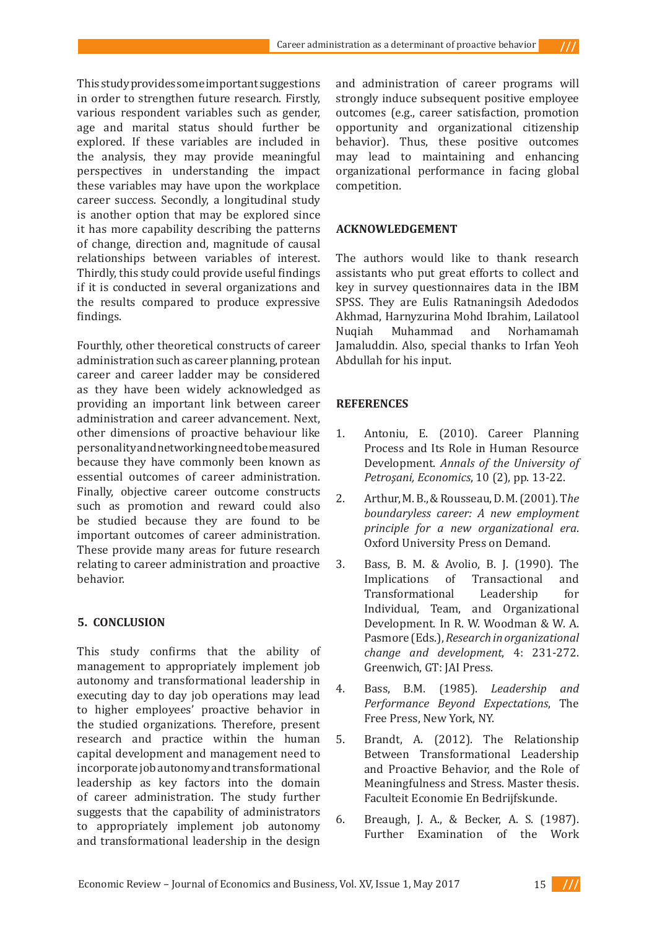This study provides some important suggestions in order to strengthen future research. Firstly, various respondent variables such as gender, age and marital status should further be explored. If these variables are included in the analysis, they may provide meaningful perspectives in understanding the impact these variables may have upon the workplace career success. Secondly, a longitudinal study is another option that may be explored since it has more capability describing the patterns of change, direction and, magnitude of causal relationships between variables of interest. Thirdly, this study could provide useful findings if it is conducted in several organizations and the results compared to produce expressive findings.

Fourthly, other theoretical constructs of career administration such as career planning, protean career and career ladder may be considered as they have been widely acknowledged as providing an important link between career administration and career advancement. Next, other dimensions of proactive behaviour like personality and networking need to be measured because they have commonly been known as essential outcomes of career administration. Finally, objective career outcome constructs such as promotion and reward could also be studied because they are found to be important outcomes of career administration. These provide many areas for future research relating to career administration and proactive behavior.

# **5. CONCLUSION**

This study confirms that the ability of management to appropriately implement job autonomy and transformational leadership in executing day to day job operations may lead to higher employees' proactive behavior in the studied organizations. Therefore, present research and practice within the human capital development and management need to incorporate job autonomy and transformational leadership as key factors into the domain of career administration. The study further suggests that the capability of administrators to appropriately implement job autonomy and transformational leadership in the design

and administration of career programs will strongly induce subsequent positive employee outcomes (e.g., career satisfaction, promotion opportunity and organizational citizenship behavior). Thus, these positive outcomes may lead to maintaining and enhancing organizational performance in facing global competition.

### **ACKNOWLEDGEMENT**

The authors would like to thank research assistants who put great efforts to collect and key in survey questionnaires data in the IBM SPSS. They are Eulis Ratnaningsih Adedodos Akhmad, Harnyzurina Mohd Ibrahim, Lailatool Muhammad Jamaluddin. Also, special thanks to Irfan Yeoh Abdullah for his input.

## **REFERENCES**

- 1. Antoniu, E. (2010). Career Planning Process and Its Role in Human Resource Development. *Annals of the University of Petroşani, Economics*, 10 (2), pp. 13-22.
- 2. Arthur, M. B., & Rousseau, D. M. (2001). T*he boundaryless career: A new employment principle for a new organizational era*. Oxford University Press on Demand.
- 3. Bass, B. M. & Avolio, B. J. (1990). The Implications of Transactional and Transformational Leadership for Individual, Team, and Organizational Development. In R. W. Woodman & W. A. Pasmore (Eds.), *Research in organizational change and development*, 4: 231-272. Greenwich, GT: JAI Press.
- 4. Bass, B.M. (1985). *Leadership and Performance Beyond Expectations*, The Free Press, New York, NY.
- 5. Brandt, A. (2012). The Relationship Between Transformational Leadership and Proactive Behavior, and the Role of Meaningfulness and Stress. Master thesis. Faculteit Economie En Bedrijfskunde.
- 6. Breaugh, J. A., & Becker, A. S. (1987). Further Examination of the Work

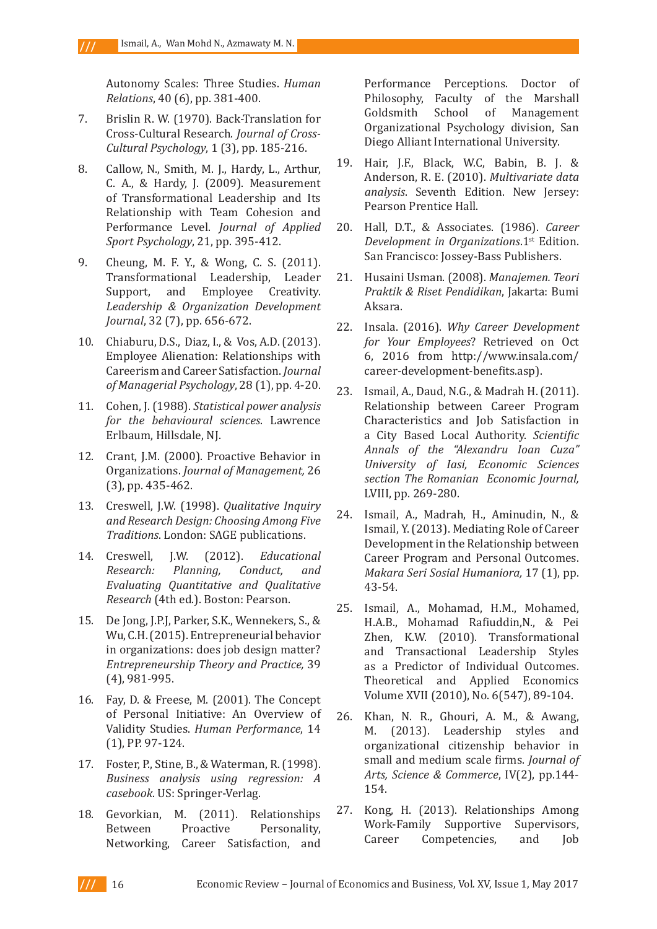$III$ 

Autonomy Scales: Three Studies. *Human Relations*, 40 (6), pp. 381-400.

- 7. Brislin R. W. (1970). Back-Translation for Cross-Cultural Research. *Journal of Cross-Cultural Psychology*, 1 (3), pp. 185-216.
- 8. Callow, N., Smith, M. J., Hardy, L., Arthur, C. A., & Hardy, J. (2009). Measurement of Transformational Leadership and Its Relationship with Team Cohesion and Performance Level. *Journal of Applied Sport Psychology*, 21, pp. 395-412.
- 9. Cheung, M. F. Y., & Wong, C. S. (2011). Transformational Leadership, Leader<br>Support, and Employee Creativity. Support, and Employee *Leadership & Organization Development Journal*, 32 (7), pp. 656-672.
- 10. Chiaburu, D.S., Diaz, I., & Vos, A.D. (2013). Employee Alienation: Relationships with Careerism and Career Satisfaction. *Journal of Managerial Psychology*, 28 (1), pp. 4-20.
- 11. Cohen, J. (1988). *Statistical power analysis for the behavioural sciences*. Lawrence Erlbaum, Hillsdale, NJ.
- 12. Crant, J.M. (2000). Proactive Behavior in Organizations. *Journal of Management,* 26 (3), pp. 435-462.
- 13. Creswell, J.W. (1998). *Qualitative Inquiry and Research Design: Choosing Among Five Traditions*. London: SAGE publications.
- 14. Creswell, J.W. (2012). *Educational Research: Planning, Conduct, and Evaluating Quantitative and Qualitative Research* (4th ed.). Boston: Pearson.
- 15. De Jong, J.P.J, Parker, S.K., Wennekers, S., & Wu, C.H. (2015). Entrepreneurial behavior in organizations: does job design matter? *Entrepreneurship Theory and Practice,* 39 (4), 981-995.
- 16. Fay, D. & Freese, M. (2001). The Concept of Personal Initiative: An Overview of Validity Studies. *Human Performance*, 14 (1), PP. 97-124.
- 17. Foster, P., Stine, B., & Waterman, R. (1998). *Business analysis using regression: A casebook*. US: Springer-Verlag.
- 18. Gevorkian, M. (2011). Relationships<br>Between Proactive Personality, Between Proactive Personality, Networking, Career Satisfaction, and

Performance Perceptions. Doctor of Philosophy, Faculty of the Marshall<br>Goldsmith School of Management Management Organizational Psychology division, San Diego Alliant International University.

- 19. Hair, J.F., Black, W.C, Babin, B. J. & Anderson, R. E. (2010). *Multivariate data analysis*. Seventh Edition. New Jersey: Pearson Prentice Hall.
- 20. Hall, D.T., & Associates. (1986). *Career Development in Organizations*.1st Edition. San Francisco: Jossey-Bass Publishers.
- 21. Husaini Usman. (2008). *Manajemen. Teori Praktik & Riset Pendidikan*, Jakarta: Bumi Aksara.
- 22. Insala. (2016). *Why Career Development for Your Employees*? Retrieved on Oct 6, 2016 from http://www.insala.com/ career-development-benefits.asp).
- 23. Ismail, A., Daud, N.G., & Madrah H. (2011). Relationship between Career Program Characteristics and Job Satisfaction in a City Based Local Authority. *Scientific Annals of the "Alexandru Ioan Cuza" University of Iasi, Economic Sciences section The Romanian Economic Journal,*  LVIII, pp*.* 269-280.
- 24. Ismail, A., Madrah, H., Aminudin, N., & Ismail, Y. (2013). Mediating Role of Career Development in the Relationship between Career Program and Personal Outcomes. *Makara Seri Sosial Humaniora,* 17 (1), pp. 43-54.
- 25. Ismail, A., Mohamad, H.M., Mohamed, H.A.B., Mohamad Rafiuddin,N., & Pei Zhen, K.W. (2010). Transformational and Transactional Leadership Styles as a Predictor of Individual Outcomes. Theoretical and Applied Economics Volume XVII (2010), No. 6(547), 89-104.
- 26. Khan, N. R., Ghouri, A. M., & Awang, M. (2013). Leadership styles and organizational citizenship behavior in small and medium scale firms. *Journal of Arts, Science & Commerce*, IV(2), pp.144- 154.
- 27. Kong, H. (2013). Relationships Among Work-Family Supportive Supervisors,<br>Career Competencies, and Job Competencies,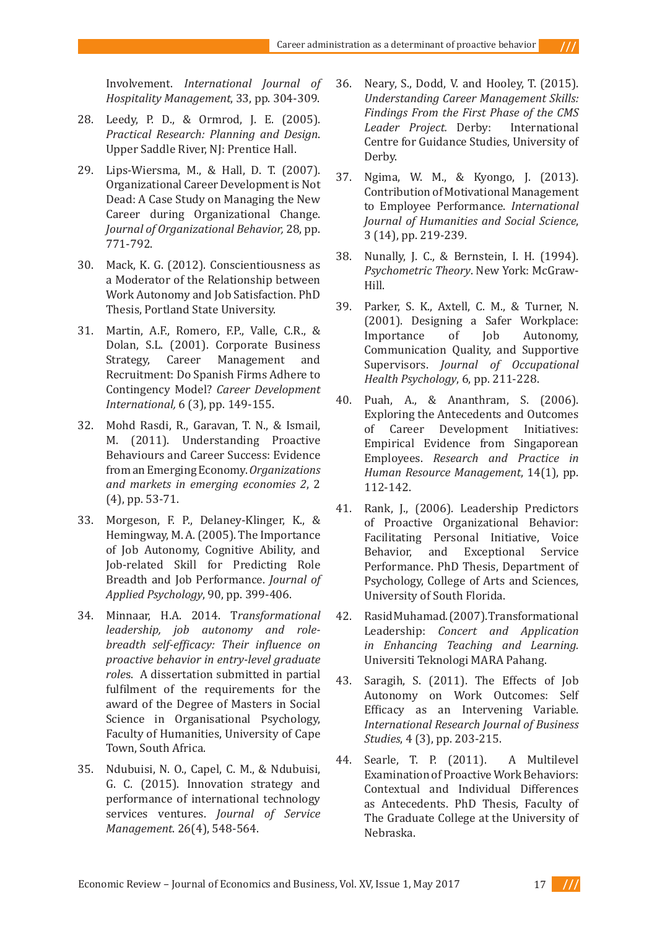Involvement. *International Journal of Hospitality Management*, 33, pp. 304-309.

- 28. Leedy, P. D., & Ormrod, J. E. (2005). *Practical Research: Planning and Design*. Upper Saddle River, NJ: Prentice Hall.
- 29. Lips-Wiersma, M., & Hall, D. T. (2007). Organizational Career Development is Not Dead: A Case Study on Managing the New Career during Organizational Change. *Journal of Organizational Behavior,* 28, pp. 771-792.
- 30. Mack, K. G. (2012). Conscientiousness as a Moderator of the Relationship between Work Autonomy and Job Satisfaction. PhD Thesis, Portland State University.
- 31. Martin, A.F., Romero, F.P., Valle, C.R., & Dolan, S.L. (2001). Corporate Business<br>Strategy, Career Management and Career Management and Recruitment: Do Spanish Firms Adhere to Contingency Model? *Career Development International,* 6 (3), pp. 149-155.
- 32. Mohd Rasdi, R., Garavan, T. N., & Ismail, M. (2011). Understanding Proactive Behaviours and Career Success: Evidence from an Emerging Economy. *Organizations and markets in emerging economies 2*, 2 (4), pp. 53-71.
- 33. Morgeson, F. P., Delaney-Klinger, K., & Hemingway, M. A. (2005). The Importance of Job Autonomy, Cognitive Ability, and Job-related Skill for Predicting Role Breadth and Job Performance. *Journal of Applied Psychology*, 90, pp. 399-406.
- 34. Minnaar, H.A. 2014. T*ransformational leadership, job autonomy and rolebreadth self-efficacy: Their influence on proactive behavior in entry-level graduate role*s. A dissertation submitted in partial fulfilment of the requirements for the award of the Degree of Masters in Social Science in Organisational Psychology, Faculty of Humanities, University of Cape Town, South Africa.
- 35. Ndubuisi, N. O., Capel, C. M., & Ndubuisi, G. C. (2015). Innovation strategy and performance of international technology services ventures. *Journal of Service Management*. 26(4), 548-564.

36. Neary, S., Dodd, V. and Hooley, T. (2015). *Understanding Career Management Skills: Findings From the First Phase of the CMS Leader Project.* Derby: International Centre for Guidance Studies, University of Derby.

 $111$ 

- 37. Ngima, W. M., & Kyongo, J. (2013). Contribution of Motivational Management to Employee Performance. *International Journal of Humanities and Social Science*, 3 (14), pp. 219-239.
- 38. Nunally, J. C., & Bernstein, I. H. (1994). *Psychometric Theory*. New York: McGraw-Hill.
- 39. Parker, S. K., Axtell, C. M., & Turner, N. (2001). Designing a Safer Workplace: Importance Communication Quality, and Supportive Supervisors. *Journal of Occupational Health Psychology*, 6, pp. 211-228.
- 40. Puah, A., & Ananthram, S. (2006). Exploring the Antecedents and Outcomes of Career Development Initiatives: Empirical Evidence from Singaporean Employees. *Research and Practice in Human Resource Management*, 14(1), pp. 112-142.
- 41. Rank, J., (2006). Leadership Predictors of Proactive Organizational Behavior: Facilitating Personal Initiative, Voice<br>Behavior, and Exceptional Service Exceptional Performance. PhD Thesis, Department of Psychology, College of Arts and Sciences, University of South Florida.
- 42. Rasid Muhamad. (2007). Transformational Leadership: *Concert and Application in Enhancing Teaching and Learning.* Universiti Teknologi MARA Pahang.
- 43. Saragih, S. (2011). The Effects of Job Autonomy on Work Outcomes: Self Efficacy as an Intervening Variable. *International Research Journal of Business Studies*, 4 (3), pp. 203-215.
- 44. Searle, T. P. (2011). A Multilevel Examination of Proactive Work Behaviors: Contextual and Individual Differences as Antecedents. PhD Thesis, Faculty of The Graduate College at the University of Nebraska.